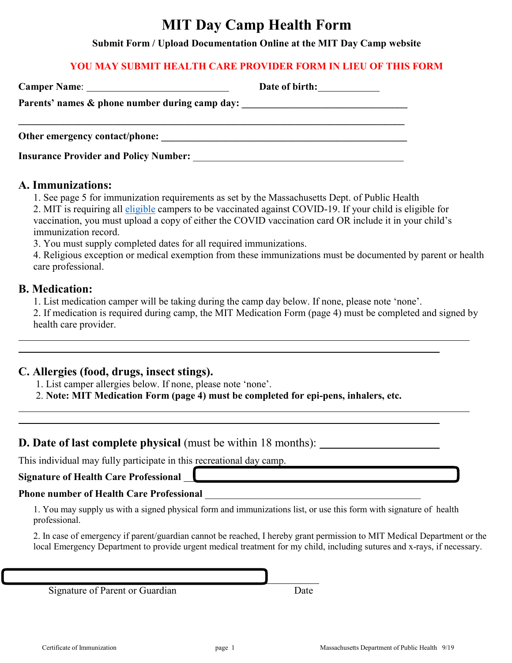# **MIT Day Camp Health Form**

**Submit Form / Upload Documentation Online at the MIT Day Camp website**

### **YOU MAY SUBMIT HEALTH CARE PROVIDER FORM IN LIEU OF THIS FORM**

|                                                                                  | Date of birth: |
|----------------------------------------------------------------------------------|----------------|
| Parents' names & phone number during camp day: _________________________________ |                |
|                                                                                  |                |
| Other emergency contact/phone:                                                   |                |
| <b>Insurance Provider and Policy Number:</b>                                     |                |

### **A. Immunizations:**

 1. See page 5 for immunization requirements as set by the Massachusetts Dept. of Public Health 2. MIT is requiring all [eligible](https://www.cdc.gov/coronavirus/2019-ncov/vaccines/recommendations/children-teens.html) campers to be vaccinated against COVID-19. If your child is eligible for vaccination, you must upload a copy of either the COVID vaccination card OR include it in your child's immunization record.

3. You must supply completed dates for all required immunizations.

4. Religious exception or medical exemption from these immunizations must be documented by parent or health care professional.

# **B. Medication:**

 $\overline{a}$  $\overline{a}$  1. List medication camper will be taking during the camp day below. If none, please note 'none'.

2. If medication is required during camp, the MIT Medication Form (page 4) must be completed and signed by health care provider.

## **C. Allergies (food, drugs, insect stings).**

1. List camper allergies below. If none, please note 'none'.

2. **Note: MIT Medication Form (page 4) must be completed for epi-pens, inhalers, etc.**

 $\overline{a}$ 

# **D. Date of last complete physical** (must be within 18 months):

This individual may fully participate in this recreational day camp.

# **Signature of Health Care Professional**

# **Phone number of Health Care Professional**

1. You may supply us with a signed physical form and immunizations list, or use this form with signature of health professional.

2. In case of emergency if parent/guardian cannot be reached, I hereby grant permission to MIT Medical Department or the local Emergency Department to provide urgent medical treatment for my child, including sutures and x-rays, if necessary.

Signature of Parent or Guardian Date

l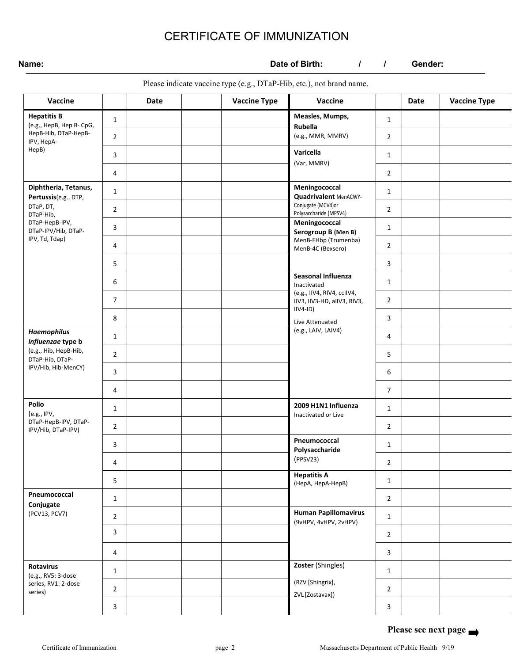# CERTIFICATE OF IMMUNIZATION

**Name: Date of Birth:**  $\frac{1}{1}$  Gender:

Please indicate vaccine type (e.g., DTaP-Hib, etc.), not brand name.

| Vaccine                                                            |                                 | Date | <b>Vaccine Type</b> | Vaccine                                                        |                | <b>Date</b> | <b>Vaccine Type</b> |
|--------------------------------------------------------------------|---------------------------------|------|---------------------|----------------------------------------------------------------|----------------|-------------|---------------------|
| <b>Hepatitis B</b><br>(e.g., HepB, Hep B- CpG,                     | Measles, Mumps,<br>$\mathbf{1}$ |      | $\mathbf{1}$        |                                                                |                |             |                     |
| HepB-Hib, DTaP-HepB-<br>IPV, HepA-                                 | $\overline{2}$                  |      |                     | Rubella<br>(e.g., MMR, MMRV)                                   | $\overline{2}$ |             |                     |
| HepB)                                                              | 3                               |      |                     | Varicella                                                      | $\mathbf{1}$   |             |                     |
|                                                                    | 4                               |      |                     | (Var, MMRV)                                                    | $\overline{2}$ |             |                     |
| Diphtheria, Tetanus,<br>Pertussis(e.g., DTP,                       | $\mathbf{1}$                    |      |                     | Meningococcal<br>Quadrivalent MenACWY-                         | $\mathbf{1}$   |             |                     |
| DTaP, DT,<br>DTaP-Hib,                                             | $\overline{2}$                  |      |                     | Conjugate (MCV4)or<br>Polysaccharide (MPSV4)                   | $\overline{2}$ |             |                     |
| DTaP-HepB-IPV,<br>DTaP-IPV/Hib, DTaP-                              | 3                               |      |                     | Meningococcal<br>Serogroup B (Men B)                           | $\mathbf{1}$   |             |                     |
| IPV, Td, Tdap)                                                     | 4                               |      |                     | MenB-FHbp (Trumenba)<br>MenB-4C (Bexsero)                      | $\overline{2}$ |             |                     |
|                                                                    | 5                               |      |                     |                                                                | 3              |             |                     |
|                                                                    | 6                               |      |                     | Seasonal Influenza<br>Inactivated                              | $\mathbf{1}$   |             |                     |
|                                                                    | 7                               |      |                     | (e.g., IIV4, RIV4, ccIIV4,<br>IIV3, IIV3-HD, aIIV3, RIV3,      | $\overline{2}$ |             |                     |
|                                                                    | 8                               |      |                     | $IIVA-ID)$<br>3<br>Live Attenuated<br>(e.g., LAIV, LAIV4)<br>4 |                |             |                     |
| <b>Haemophilus</b><br>influenzae type b                            | $\mathbf{1}$                    |      |                     |                                                                |                |             |                     |
| (e.g., Hib, HepB-Hib,<br>DTaP-Hib, DTaP-                           | $\overline{2}$                  |      |                     |                                                                | 5              |             |                     |
| IPV/Hib, Hib-MenCY)                                                | 3                               |      |                     |                                                                | 6              |             |                     |
|                                                                    | 4                               |      |                     |                                                                | $\overline{7}$ |             |                     |
| Polio<br>(e.g., IPV,<br>DTaP-HepB-IPV, DTaP-<br>IPV/Hib, DTaP-IPV) | $\mathbf{1}$                    |      |                     | 2009 H1N1 Influenza<br>Inactivated or Live                     | $\mathbf{1}$   |             |                     |
|                                                                    | $\overline{2}$                  |      |                     |                                                                | $\overline{2}$ |             |                     |
|                                                                    | 3                               |      |                     | Pneumococcal<br>Polysaccharide                                 | $\mathbf{1}$   |             |                     |
|                                                                    | 4                               |      |                     | (PPSV23)<br><b>Hepatitis A</b><br>(НерА, НерА-НерВ)            | $\overline{2}$ |             |                     |
|                                                                    | 5                               |      |                     |                                                                | $\mathbf{1}$   |             |                     |
| Pneumococcal<br>Conjugate                                          | $\mathbf{1}$                    |      |                     |                                                                | $\overline{2}$ |             |                     |
| (PCV13, PCV7)                                                      | $\overline{2}$                  |      |                     | <b>Human Papillomavirus</b><br>(9vHPV, 4vHPV, 2vHPV)           | $\mathbf{1}$   |             |                     |
|                                                                    | 3                               |      |                     |                                                                | $\overline{2}$ |             |                     |
|                                                                    | 4                               |      |                     |                                                                | 3              |             |                     |
| <b>Rotavirus</b><br>(e.g., RV5: 3-dose                             | $\mathbf{1}$                    |      |                     | Zoster (Shingles)                                              | $\mathbf{1}$   |             |                     |
| series, RV1: 2-dose<br>series)                                     | $\overline{2}$                  |      |                     | (RZV [Shingrix],<br>ZVL [Zostavax])                            | $\overline{2}$ |             |                     |
|                                                                    | 3                               |      |                     |                                                                | $\mathbf{3}$   |             |                     |

**Please see next page**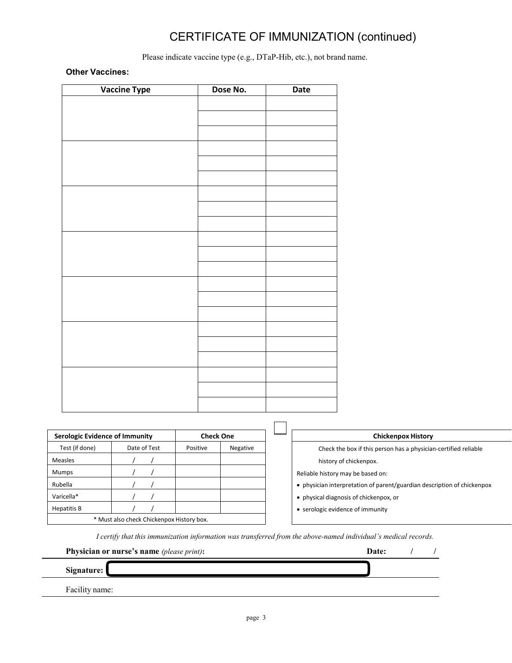# CERTIFICATE OF IMMUNIZATION (continued)

Please indicate vaccine type (e.g., DTaP-Hib, etc.), not brand name.

#### **Other Vaccines:**

| <b>Vaccine Type</b> | Dose No. | <b>Date</b> |
|---------------------|----------|-------------|
|                     |          |             |
|                     |          |             |
|                     |          |             |
|                     |          |             |
|                     |          |             |
|                     |          |             |
|                     |          |             |
|                     |          |             |
|                     |          |             |
|                     |          |             |
|                     |          |             |
|                     |          |             |
|                     |          |             |
|                     |          |             |
|                     |          |             |
|                     |          |             |
|                     |          |             |
|                     |          |             |
|                     |          |             |
|                     |          |             |
|                     |          |             |
|                     |          |             |

| Serologic Evidence of Immunity            |              | <b>Check One</b> |          | <b>Chickenpox History</b>                                            |
|-------------------------------------------|--------------|------------------|----------|----------------------------------------------------------------------|
| Test (if done)                            | Date of Test | Positive         | Negative | Check the box if this person has a physician-certified reliable      |
| <b>Measles</b>                            |              |                  |          | history of chickenpox.                                               |
| <b>Mumps</b>                              |              |                  |          | Reliable history may be based on:                                    |
| Rubella                                   |              |                  |          | • physician interpretation of parent/guardian description of chicken |
| Varicella*                                |              |                  |          | • physical diagnosis of chickenpox, or                               |
| Hepatitis B                               |              |                  |          | • serologic evidence of immunity                                     |
| * Must also check Chickenpox History box. |              |                  |          |                                                                      |

 $\mathsf{L}$ 

| <b>Chickenpox History</b>                                               |
|-------------------------------------------------------------------------|
| Check the box if this person has a physician-certified reliable         |
| history of chickenpox.                                                  |
| Reliable history may be based on:                                       |
| • physician interpretation of parent/guardian description of chickenpox |
| • physical diagnosis of chickenpox, or                                  |
| • serologic evidence of immunity                                        |
|                                                                         |

*I certify that this immunization information was transferred from the above-named individual's medical records.*

| Physician or nurse's name (please print): | Date: |  |
|-------------------------------------------|-------|--|
| Signature:                                |       |  |
| Facility name:                            |       |  |
|                                           |       |  |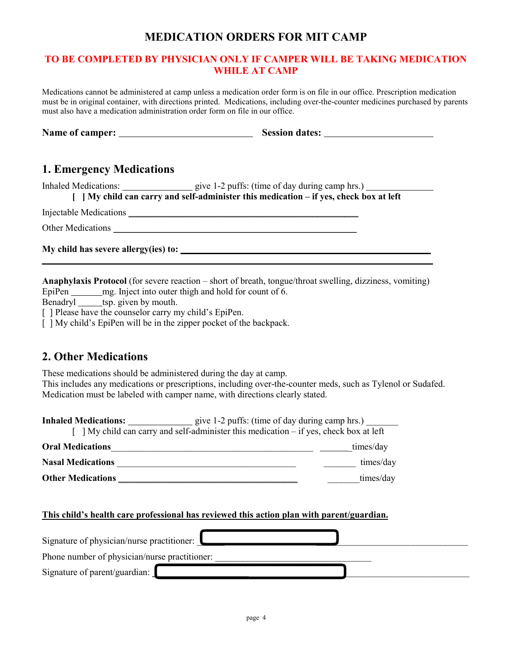# **MEDICATION ORDERS FOR MIT CAMP**

### **TO BE COMPLETED BY PHYSICIAN ONLY IF CAMPER WILL BE TAKING MEDICATION WHILE AT CAMP**

Medications cannot be administered at camp unless a medication order form is on file in our office. Prescription medication must be in original container, with directions printed. Medications, including over-the-counter medicines purchased by parents must also have a medication administration order form on file in our office.

| <b>Name of camper:</b> | <b>Session dates:</b> |
|------------------------|-----------------------|
|                        |                       |

## **1. Emergency Medications**

Inhaled Medications: give 1-2 puffs: (time of day during camp hrs.)

**[ ] My child can carry and self-administer this medication – if yes, check box at left**

Injectable Medications \_\_\_\_\_\_\_\_\_\_\_\_\_\_\_\_\_\_\_\_\_\_\_\_\_\_\_\_\_\_\_\_\_\_\_\_\_\_\_\_\_\_\_\_\_\_\_\_\_\_

Other Medications \_\_\_\_\_\_\_\_\_\_\_\_\_\_\_\_\_\_\_\_\_\_\_\_\_\_\_\_\_\_\_\_\_\_\_\_\_\_\_\_\_\_\_\_\_\_\_\_\_\_\_\_\_

**My child has severe allergy(ies) to: \_\_\_\_\_\_\_\_\_\_\_\_\_\_\_\_\_\_\_\_\_\_\_\_\_\_\_ \_\_\_\_\_\_** 

**Anaphylaxis Protocol** (for severe reaction – short of breath, tongue/throat swelling, dizziness, vomiting) EpiPen mg. Inject into outer thigh and hold for count of 6.

**\_\_\_\_\_\_\_\_\_\_\_\_\_\_\_\_\_\_\_\_\_\_\_\_\_\_\_\_\_\_\_\_\_\_\_\_\_\_\_\_\_\_\_\_\_\_\_\_\_\_\_\_\_\_\_\_\_\_\_\_\_\_\_\_\_\_\_\_\_\_\_\_\_\_\_\_\_\_\_\_\_\_\_\_\_** 

Benadryl tsp. given by mouth.

[ ] Please have the counselor carry my child's EpiPen.

[ ] My child's EpiPen will be in the zipper pocket of the backpack.

# **2. Other Medications**

These medications should be administered during the day at camp.

This includes any medications or prescriptions, including over-the-counter meds, such as Tylenol or Sudafed. Medication must be labeled with camper name, with directions clearly stated.

| My child can carry and self-administer this medication – if yes, check box at left        |           |
|-------------------------------------------------------------------------------------------|-----------|
| <b>Oral Medications</b>                                                                   | times/day |
| <b>Nasal Medications</b>                                                                  | times/day |
| times/day<br><b>Other Medications</b>                                                     |           |
| This child's health care professional has reviewed this action plan with parent/guardian. |           |
| Signature of physician/nurse practitioner:                                                |           |
| Phone number of physician/nurse practitioner:                                             |           |
| Signature of parent/guardian:                                                             |           |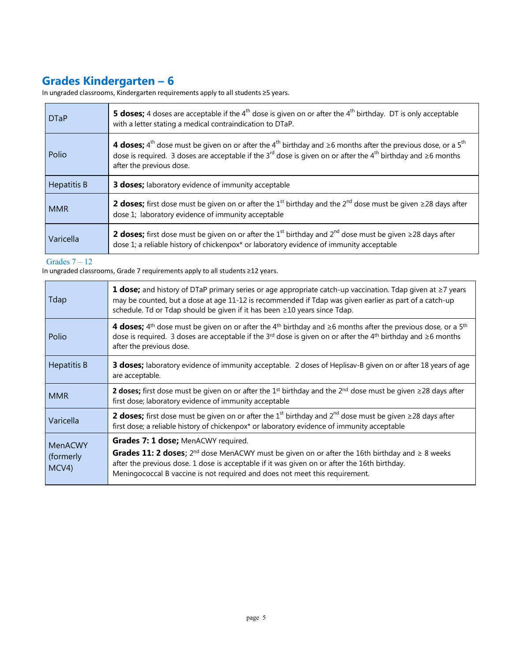# **Grades Kindergarten – 6**

In ungraded classrooms, Kindergarten requirements apply to all students ≥5 years.

| <b>DTaP</b> | <b>5 doses;</b> 4 doses are acceptable if the 4 <sup>th</sup> dose is given on or after the 4 <sup>th</sup> birthday. DT is only acceptable<br>with a letter stating a medical contraindication to DTaP.                                                                                                                                |  |
|-------------|-----------------------------------------------------------------------------------------------------------------------------------------------------------------------------------------------------------------------------------------------------------------------------------------------------------------------------------------|--|
| Polio       | 4 <b>doses;</b> 4 <sup>th</sup> dose must be given on or after the 4 <sup>th</sup> birthday and $\geq$ 6 months after the previous dose, or a 5 <sup>th</sup><br>dose is required. 3 doses are acceptable if the 3 <sup>rd</sup> dose is given on or after the 4 <sup>th</sup> birthday and $\geq$ 6 months<br>after the previous dose. |  |
| Hepatitis B | 3 doses; laboratory evidence of immunity acceptable                                                                                                                                                                                                                                                                                     |  |
| <b>MMR</b>  | <b>2 doses;</b> first dose must be given on or after the 1 <sup>st</sup> birthday and the 2 <sup>nd</sup> dose must be given $\geq$ 28 days after<br>dose 1; laboratory evidence of immunity acceptable                                                                                                                                 |  |
| Varicella   | <b>2 doses;</b> first dose must be given on or after the 1 <sup>st</sup> birthday and $2^{nd}$ dose must be given $\geq$ 28 days after<br>dose 1; a reliable history of chickenpox* or laboratory evidence of immunity acceptable                                                                                                       |  |

#### Grades 7 – 12

In ungraded classrooms, Grade 7 requirements apply to all students ≥12 years.

| Tdap               | <b>1 dose;</b> and history of DTaP primary series or age appropriate catch-up vaccination. Tdap given at $\geq$ 7 years<br>may be counted, but a dose at age 11-12 is recommended if Tdap was given earlier as part of a catch-up<br>schedule. Td or Tdap should be given if it has been ≥10 years since Tdap. |
|--------------------|----------------------------------------------------------------------------------------------------------------------------------------------------------------------------------------------------------------------------------------------------------------------------------------------------------------|
| Polio              | 4 doses; $4^{th}$ dose must be given on or after the $4^{th}$ birthday and $\geq 6$ months after the previous dose, or a $5^{th}$<br>dose is required. 3 doses are acceptable if the 3 <sup>rd</sup> dose is given on or after the 4 <sup>th</sup> birthday and $\geq$ 6 months<br>after the previous dose.    |
| <b>Hepatitis B</b> | <b>3 doses;</b> laboratory evidence of immunity acceptable. 2 doses of Heplisav-B given on or after 18 years of age<br>are acceptable.                                                                                                                                                                         |
| <b>MMR</b>         | <b>2 doses;</b> first dose must be given on or after the 1 <sup>st</sup> birthday and the 2 <sup>nd</sup> dose must be given $\geq$ 28 days after<br>first dose; laboratory evidence of immunity acceptable                                                                                                    |
| Varicella          | <b>2 doses;</b> first dose must be given on or after the 1 <sup>st</sup> birthday and 2 <sup>nd</sup> dose must be given $\geq$ 28 days after<br>first dose; a reliable history of chickenpox* or laboratory evidence of immunity acceptable                                                                   |
| <b>MenACWY</b>     | Grades 7: 1 dose; MenACWY required.                                                                                                                                                                                                                                                                            |
| (formerly<br>MCV4) | <b>Grades 11: 2 doses;</b> $2^{nd}$ dose MenACWY must be given on or after the 16th birthday and $\geq 8$ weeks<br>after the previous dose. 1 dose is acceptable if it was given on or after the 16th birthday.<br>Meningococcal B vaccine is not required and does not meet this requirement.                 |